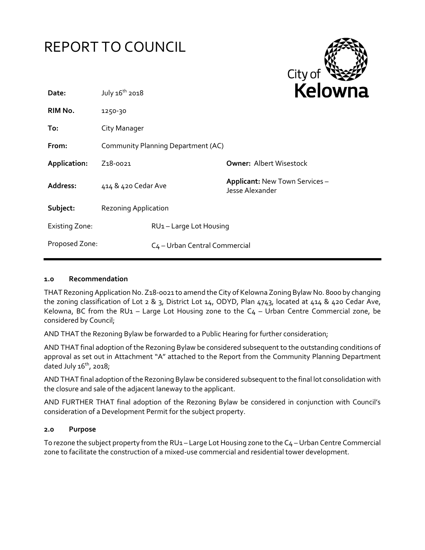



| Date:                 | July 16 <sup>th</sup> 2018         |                                           | rei<br>I IV                                       |
|-----------------------|------------------------------------|-------------------------------------------|---------------------------------------------------|
| RIM No.               | 1250-30                            |                                           |                                                   |
| To:                   | City Manager                       |                                           |                                                   |
| From:                 | Community Planning Department (AC) |                                           |                                                   |
| Application:          | Z <sub>1</sub> 8-0021              |                                           | <b>Owner: Albert Wisestock</b>                    |
| Address:              | 414 & 420 Cedar Ave                |                                           | Applicant: New Town Services -<br>Jesse Alexander |
| Subject:              | <b>Rezoning Application</b>        |                                           |                                                   |
| <b>Existing Zone:</b> |                                    | RU1-Large Lot Housing                     |                                                   |
| Proposed Zone:        |                                    | C <sub>4</sub> - Urban Central Commercial |                                                   |

#### **1.0 Recommendation**

THAT Rezoning Application No. Z18-0021 to amend the City of Kelowna Zoning Bylaw No. 8000 by changing the zoning classification of Lot 2 & 3, District Lot 14, ODYD, Plan 4743, located at 414 & 420 Cedar Ave, Kelowna, BC from the RU1 - Large Lot Housing zone to the  $C_4$  - Urban Centre Commercial zone, be considered by Council;

AND THAT the Rezoning Bylaw be forwarded to a Public Hearing for further consideration;

AND THAT final adoption of the Rezoning Bylaw be considered subsequent to the outstanding conditions of approval as set out in Attachment "A" attached to the Report from the Community Planning Department dated July  $16<sup>th</sup>$ , 2018;

AND THAT final adoption of the Rezoning Bylaw be considered subsequent to the final lot consolidation with the closure and sale of the adjacent laneway to the applicant.

AND FURTHER THAT final adoption of the Rezoning Bylaw be considered in conjunction with Council's consideration of a Development Permit for the subject property.

#### **2.0 Purpose**

To rezone the subject property from the RU1 – Large Lot Housing zone to the C4 –Urban Centre Commercial zone to facilitate the construction of a mixed-use commercial and residential tower development.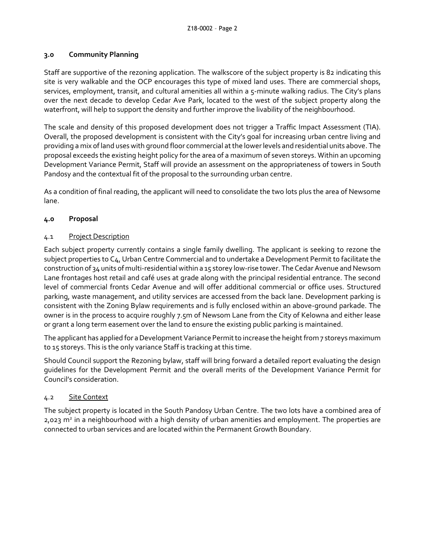## **3.0 Community Planning**

Staff are supportive of the rezoning application. The walkscore of the subject property is 82 indicating this site is very walkable and the OCP encourages this type of mixed land uses. There are commercial shops, services, employment, transit, and cultural amenities all within a 5-minute walking radius. The City's plans over the next decade to develop Cedar Ave Park, located to the west of the subject property along the waterfront, will help to support the density and further improve the livability of the neighbourhood.

The scale and density of this proposed development does not trigger a Traffic Impact Assessment (TIA). Overall, the proposed development is consistent with the City's goal for increasing urban centre living and providing a mix of land uses with ground floor commercial at the lower levels and residential units above. The proposal exceeds the existing height policy for the area of a maximum of seven storeys. Within an upcoming Development Variance Permit, Staff will provide an assessment on the appropriateness of towers in South Pandosy and the contextual fit of the proposal to the surrounding urban centre.

As a condition of final reading, the applicant will need to consolidate the two lots plus the area of Newsome lane.

# **4.0 Proposal**

# 4.1 Project Description

Each subject property currently contains a single family dwelling. The applicant is seeking to rezone the subject properties to C4, Urban Centre Commercial and to undertake a Development Permit to facilitate the construction of 34 units of multi-residential within a 15 storey low-rise tower. The Cedar Avenue and Newsom Lane frontages host retail and café uses at grade along with the principal residential entrance. The second level of commercial fronts Cedar Avenue and will offer additional commercial or office uses. Structured parking, waste management, and utility services are accessed from the back lane. Development parking is consistent with the Zoning Bylaw requirements and is fully enclosed within an above-ground parkade. The owner is in the process to acquire roughly 7.5m of Newsom Lane from the City of Kelowna and either lease or grant a long term easement over the land to ensure the existing public parking is maintained.

The applicant has applied for a Development Variance Permit to increase the height from 7 storeys maximum to 15 storeys. This is the only variance Staff is tracking at this time.

Should Council support the Rezoning bylaw, staff will bring forward a detailed report evaluating the design guidelines for the Development Permit and the overall merits of the Development Variance Permit for Council's consideration.

# 4.2 Site Context

The subject property is located in the South Pandosy Urban Centre. The two lots have a combined area of 2,023 m<sup>2</sup> in a neighbourhood with a high density of urban amenities and employment. The properties are connected to urban services and are located within the Permanent Growth Boundary.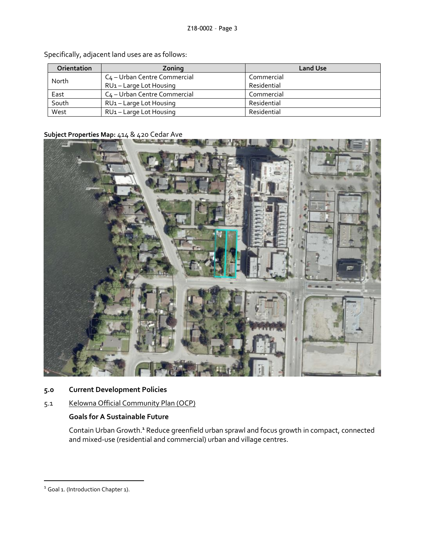| <b>Orientation</b> | Zoning                                   | <b>Land Use</b> |
|--------------------|------------------------------------------|-----------------|
| North              | C <sub>4</sub> – Urban Centre Commercial | Commercial      |
|                    | RU1-Large Lot Housing                    | Residential     |
| East               | C <sub>4</sub> – Urban Centre Commercial | Commercial      |
| South              | RU1-Large Lot Housing                    | Residential     |
| West               | RU <sub>1</sub> – Large Lot Housing      | Residential     |

Specifically, adjacent land uses are as follows:

# **Subject Properties Map:** 414 & 420 Cedar Ave



- **5.0 Current Development Policies**
- 5.1 Kelowna Official Community Plan (OCP)

# **Goals for A Sustainable Future**

Contain Urban Growth.**<sup>1</sup>** Reduce greenfield urban sprawl and focus growth in compact, connected and mixed-use (residential and commercial) urban and village centres.

-

<sup>&</sup>lt;sup>1</sup> Goal 1. (Introduction Chapter 1).